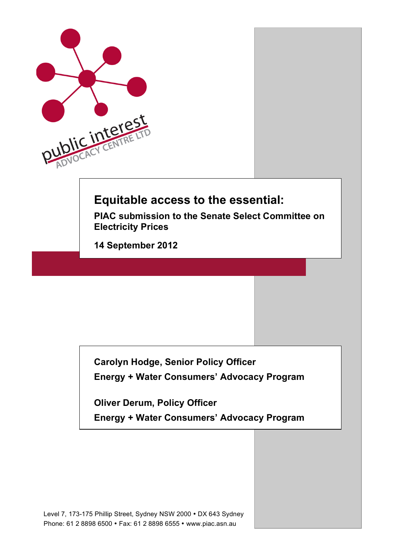

**Carolyn Hodge, Senior Policy Officer Energy + Water Consumers' Advocacy Program**

**Oliver Derum, Policy Officer**

**Energy + Water Consumers' Advocacy Program**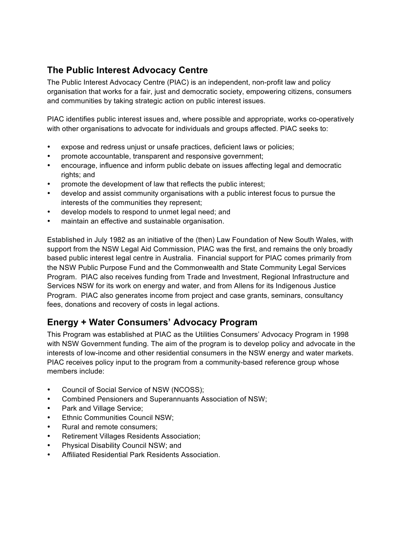# **The Public Interest Advocacy Centre**

The Public Interest Advocacy Centre (PIAC) is an independent, non-profit law and policy organisation that works for a fair, just and democratic society, empowering citizens, consumers and communities by taking strategic action on public interest issues.

PIAC identifies public interest issues and, where possible and appropriate, works co-operatively with other organisations to advocate for individuals and groups affected. PIAC seeks to:

- expose and redress unjust or unsafe practices, deficient laws or policies;
- promote accountable, transparent and responsive government;
- encourage, influence and inform public debate on issues affecting legal and democratic rights; and
- promote the development of law that reflects the public interest;
- develop and assist community organisations with a public interest focus to pursue the interests of the communities they represent;
- develop models to respond to unmet legal need; and
- maintain an effective and sustainable organisation.

Established in July 1982 as an initiative of the (then) Law Foundation of New South Wales, with support from the NSW Legal Aid Commission, PIAC was the first, and remains the only broadly based public interest legal centre in Australia. Financial support for PIAC comes primarily from the NSW Public Purpose Fund and the Commonwealth and State Community Legal Services Program. PIAC also receives funding from Trade and Investment, Regional Infrastructure and Services NSW for its work on energy and water, and from Allens for its Indigenous Justice Program. PIAC also generates income from project and case grants, seminars, consultancy fees, donations and recovery of costs in legal actions.

# **Energy + Water Consumers' Advocacy Program**

This Program was established at PIAC as the Utilities Consumers' Advocacy Program in 1998 with NSW Government funding. The aim of the program is to develop policy and advocate in the interests of low-income and other residential consumers in the NSW energy and water markets. PIAC receives policy input to the program from a community-based reference group whose members include:

- Council of Social Service of NSW (NCOSS);
- Combined Pensioners and Superannuants Association of NSW;
- Park and Village Service;
- **Ethnic Communities Council NSW:**
- Rural and remote consumers;
- Retirement Villages Residents Association;
- Physical Disability Council NSW; and
- Affiliated Residential Park Residents Association.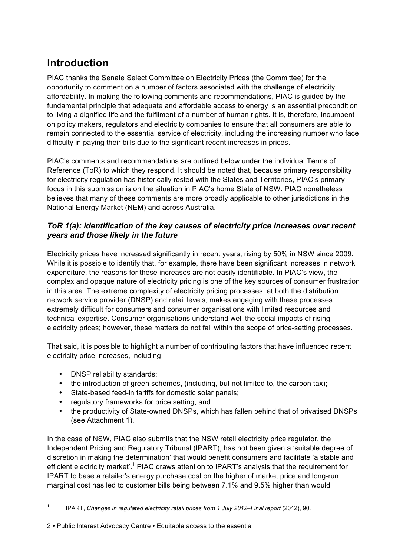# **Introduction**

PIAC thanks the Senate Select Committee on Electricity Prices (the Committee) for the opportunity to comment on a number of factors associated with the challenge of electricity affordability. In making the following comments and recommendations, PIAC is guided by the fundamental principle that adequate and affordable access to energy is an essential precondition to living a dignified life and the fulfilment of a number of human rights. It is, therefore, incumbent on policy makers, regulators and electricity companies to ensure that all consumers are able to remain connected to the essential service of electricity, including the increasing number who face difficulty in paying their bills due to the significant recent increases in prices.

PIAC's comments and recommendations are outlined below under the individual Terms of Reference (ToR) to which they respond. It should be noted that, because primary responsibility for electricity regulation has historically rested with the States and Territories, PIAC's primary focus in this submission is on the situation in PIAC's home State of NSW. PIAC nonetheless believes that many of these comments are more broadly applicable to other jurisdictions in the National Energy Market (NEM) and across Australia.

#### *ToR 1(a): identification of the key causes of electricity price increases over recent years and those likely in the future*

Electricity prices have increased significantly in recent years, rising by 50% in NSW since 2009. While it is possible to identify that, for example, there have been significant increases in network expenditure, the reasons for these increases are not easily identifiable. In PIAC's view, the complex and opaque nature of electricity pricing is one of the key sources of consumer frustration in this area. The extreme complexity of electricity pricing processes, at both the distribution network service provider (DNSP) and retail levels, makes engaging with these processes extremely difficult for consumers and consumer organisations with limited resources and technical expertise. Consumer organisations understand well the social impacts of rising electricity prices; however, these matters do not fall within the scope of price-setting processes.

That said, it is possible to highlight a number of contributing factors that have influenced recent electricity price increases, including:

- DNSP reliability standards;
- the introduction of green schemes, (including, but not limited to, the carbon tax);
- State-based feed-in tariffs for domestic solar panels;
- regulatory frameworks for price setting; and
- the productivity of State-owned DNSPs, which has fallen behind that of privatised DNSPs (see Attachment 1).

In the case of NSW, PIAC also submits that the NSW retail electricity price regulator, the Independent Pricing and Regulatory Tribunal (IPART), has not been given a 'suitable degree of discretion in making the determination' that would benefit consumers and facilitate 'a stable and efficient electricity market'.<sup>1</sup> PIAC draws attention to IPART's analysis that the requirement for IPART to base a retailer's energy purchase cost on the higher of market price and long-run marginal cost has led to customer bills being between 7.1% and 9.5% higher than would

<sup>&</sup>lt;sup>1</sup> IPART, *Changes in regulated electricity retail prices from 1 July 2012–Final report (2012), 90.*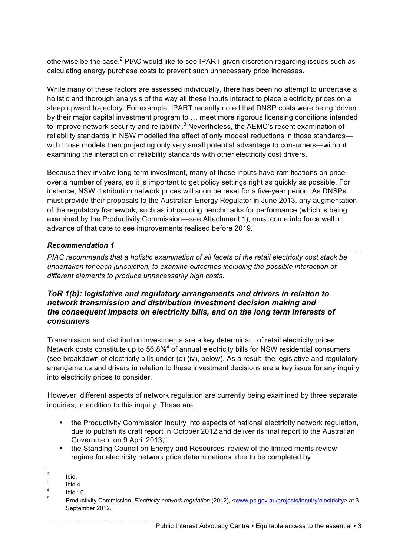otherwise be the case.<sup>2</sup> PIAC would like to see IPART given discretion regarding issues such as calculating energy purchase costs to prevent such unnecessary price increases.

While many of these factors are assessed individually, there has been no attempt to undertake a holistic and thorough analysis of the way all these inputs interact to place electricity prices on a steep upward trajectory. For example, IPART recently noted that DNSP costs were being 'driven by their major capital investment program to … meet more rigorous licensing conditions intended to improve network security and reliability'.<sup>3</sup> Nevertheless, the AEMC's recent examination of reliability standards in NSW modelled the effect of only modest reductions in those standards with those models then projecting only very small potential advantage to consumers—without examining the interaction of reliability standards with other electricity cost drivers.

Because they involve long-term investment, many of these inputs have ramifications on price over a number of years, so it is important to get policy settings right as quickly as possible. For instance, NSW distribution network prices will soon be reset for a five-year period. As DNSPs must provide their proposals to the Australian Energy Regulator in June 2013, any augmentation of the regulatory framework, such as introducing benchmarks for performance (which is being examined by the Productivity Commission—see Attachment 1), must come into force well in advance of that date to see improvements realised before 2019.

#### *Recommendation 1*

*PIAC recommends that a holistic examination of all facets of the retail electricity cost stack be undertaken for each jurisdiction, to examine outcomes including the possible interaction of different elements to produce unnecessarily high costs.*

#### *ToR 1(b): legislative and regulatory arrangements and drivers in relation to network transmission and distribution investment decision making and the consequent impacts on electricity bills, and on the long term interests of consumers*

Transmission and distribution investments are a key determinant of retail electricity prices. Network costs constitute up to  $56.8\%$ <sup>4</sup> of annual electricity bills for NSW residential consumers (see breakdown of electricity bills under (e) (iv), below). As a result, the legislative and regulatory arrangements and drivers in relation to these investment decisions are a key issue for any inquiry into electricity prices to consider.

However, different aspects of network regulation are currently being examined by three separate inquiries, in addition to this inquiry. These are:

- the Productivity Commission inquiry into aspects of national electricity network regulation, due to publish its draft report in October 2012 and deliver its final report to the Australian Government on 9 April 2013:<sup>5</sup>
- the Standing Council on Energy and Resources' review of the limited merits review regime for electricity network price determinations, due to be completed by

 $\frac{2}{3}$  Ibid.

 $\frac{3}{4}$  Ibid 4.

 $\frac{4}{5}$  Ibid 10.

<sup>5</sup> Productivity Commission, *Electricity network regulation* (2012), <www.pc.gov.au/projects/inquiry/electricity> at 3 September 2012.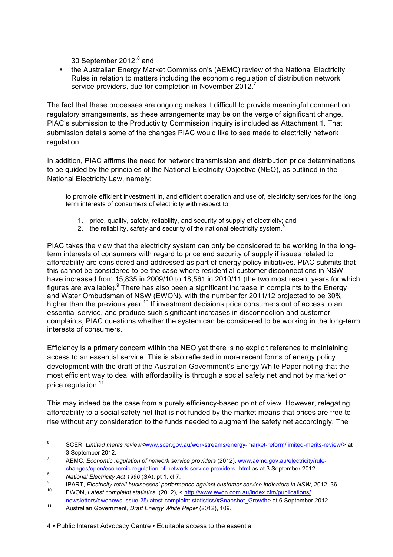30 September 2012;<sup>6</sup> and

• the Australian Energy Market Commission's (AEMC) review of the National Electricity Rules in relation to matters including the economic regulation of distribution network service providers, due for completion in November 2012.<sup>7</sup>

The fact that these processes are ongoing makes it difficult to provide meaningful comment on regulatory arrangements, as these arrangements may be on the verge of significant change. PIAC's submission to the Productivity Commission inquiry is included as Attachment 1. That submission details some of the changes PIAC would like to see made to electricity network regulation.

In addition, PIAC affirms the need for network transmission and distribution price determinations to be guided by the principles of the National Electricity Objective (NEO), as outlined in the National Electricity Law, namely:

to promote efficient investment in, and efficient operation and use of, electricity services for the long term interests of consumers of electricity with respect to:

- 1. price, quality, safety, reliability, and security of supply of electricity; and
- 2. the reliability, safety and security of the national electricity system.

PIAC takes the view that the electricity system can only be considered to be working in the longterm interests of consumers with regard to price and security of supply if issues related to affordability are considered and addressed as part of energy policy initiatives. PIAC submits that this cannot be considered to be the case where residential customer disconnections in NSW have increased from 15,835 in 2009/10 to 18,561 in 2010/11 (the two most recent years for which figures are available). $9$  There has also been a significant increase in complaints to the Energy and Water Ombudsman of NSW (EWON), with the number for 2011/12 projected to be 30% higher than the previous year.<sup>10</sup> If investment decisions price consumers out of access to an essential service, and produce such significant increases in disconnection and customer complaints, PIAC questions whether the system can be considered to be working in the long-term interests of consumers.

Efficiency is a primary concern within the NEO yet there is no explicit reference to maintaining access to an essential service. This is also reflected in more recent forms of energy policy development with the draft of the Australian Government's Energy White Paper noting that the most efficient way to deal with affordability is through a social safety net and not by market or price regulation.<sup>11</sup>

This may indeed be the case from a purely efficiency-based point of view. However, relegating affordability to a social safety net that is not funded by the market means that prices are free to rise without any consideration to the funds needed to augment the safety net accordingly. The

<sup>&</sup>lt;sup>6</sup> SCER, *Limited merits review<www.scer.gov.au/workstreams/energy-market-reform/limited-merits-review/> at* 3 September 2012.

<sup>7</sup> AEMC, *Economic regulation of network service providers* (2012), www.aemc.gov.au/electricity/rulechanges/open/economic-regulation-of-network-service-providers-.html as at 3 September 2012.

<sup>8</sup> **National Electricity Act 1996** (SA), pt 1, cl 7.

<sup>9</sup> IPART, *Electricity retail businesses' performance against customer service indicators in NSW*, 2012, 36.<br><sup>10</sup> EWON Latest complaint statistics (2012), s http://www.ewen.com.ou/index.cfm/aublications/

<sup>10</sup> EWON, *Latest complaint statistics,* (2012), < http://www.ewon.com.au/index.cfm/publications/

newsletters/ewonews-issue-25/latest-complaint-statistics/#Snapshot\_Growth> at 6 September 2012. <sup>11</sup> Australian Government, *Draft Energy White Paper* (2012), 109.

<sup>4</sup> • Public Interest Advocacy Centre • Equitable access to the essential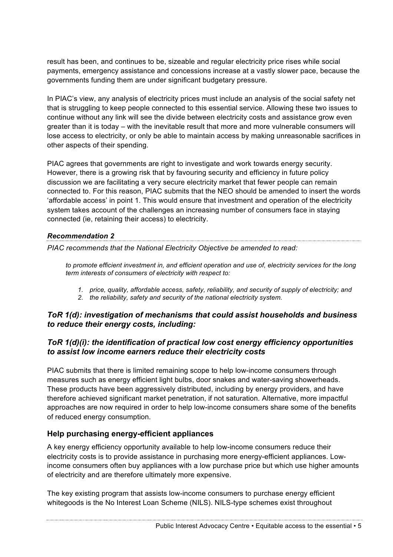result has been, and continues to be, sizeable and regular electricity price rises while social payments, emergency assistance and concessions increase at a vastly slower pace, because the governments funding them are under significant budgetary pressure.

In PIAC's view, any analysis of electricity prices must include an analysis of the social safety net that is struggling to keep people connected to this essential service. Allowing these two issues to continue without any link will see the divide between electricity costs and assistance grow even greater than it is today – with the inevitable result that more and more vulnerable consumers will lose access to electricity, or only be able to maintain access by making unreasonable sacrifices in other aspects of their spending.

PIAC agrees that governments are right to investigate and work towards energy security. However, there is a growing risk that by favouring security and efficiency in future policy discussion we are facilitating a very secure electricity market that fewer people can remain connected to. For this reason, PIAC submits that the NEO should be amended to insert the words 'affordable access' in point 1. This would ensure that investment and operation of the electricity system takes account of the challenges an increasing number of consumers face in staying connected (ie, retaining their access) to electricity.

#### *Recommendation 2*

*PIAC recommends that the National Electricity Objective be amended to read:*

*to promote efficient investment in, and efficient operation and use of, electricity services for the long term interests of consumers of electricity with respect to:*

- *1. price, quality, affordable access, safety, reliability, and security of supply of electricity; and*
- *2. the reliability, safety and security of the national electricity system.*

#### *ToR 1(d): investigation of mechanisms that could assist households and business to reduce their energy costs, including:*

#### *ToR 1(d)(i): the identification of practical low cost energy efficiency opportunities to assist low income earners reduce their electricity costs*

PIAC submits that there is limited remaining scope to help low-income consumers through measures such as energy efficient light bulbs, door snakes and water-saving showerheads. These products have been aggressively distributed, including by energy providers, and have therefore achieved significant market penetration, if not saturation. Alternative, more impactful approaches are now required in order to help low-income consumers share some of the benefits of reduced energy consumption.

### **Help purchasing energy-efficient appliances**

A key energy efficiency opportunity available to help low-income consumers reduce their electricity costs is to provide assistance in purchasing more energy-efficient appliances. Lowincome consumers often buy appliances with a low purchase price but which use higher amounts of electricity and are therefore ultimately more expensive.

The key existing program that assists low-income consumers to purchase energy efficient whitegoods is the No Interest Loan Scheme (NILS). NILS-type schemes exist throughout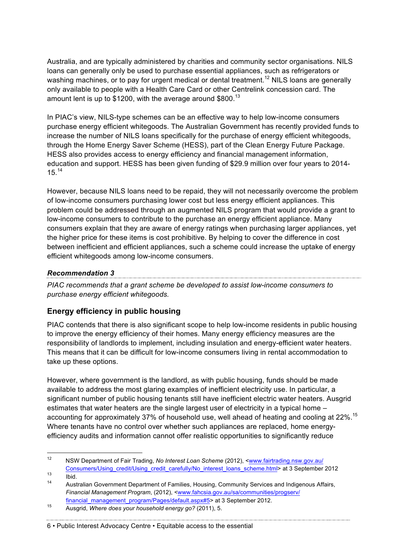Australia, and are typically administered by charities and community sector organisations. NILS loans can generally only be used to purchase essential appliances, such as refrigerators or washing machines, or to pay for urgent medical or dental treatment.<sup>12</sup> NILS loans are generally only available to people with a Health Care Card or other Centrelink concession card. The amount lent is up to \$1200, with the average around \$800.<sup>13</sup>

In PIAC's view, NILS-type schemes can be an effective way to help low-income consumers purchase energy efficient whitegoods. The Australian Government has recently provided funds to increase the number of NILS loans specifically for the purchase of energy efficient whitegoods, through the Home Energy Saver Scheme (HESS), part of the Clean Energy Future Package. HESS also provides access to energy efficiency and financial management information, education and support. HESS has been given funding of \$29.9 million over four years to 2014- 15.<sup>14</sup>

However, because NILS loans need to be repaid, they will not necessarily overcome the problem of low-income consumers purchasing lower cost but less energy efficient appliances. This problem could be addressed through an augmented NILS program that would provide a grant to low-income consumers to contribute to the purchase an energy efficient appliance. Many consumers explain that they are aware of energy ratings when purchasing larger appliances, yet the higher price for these items is cost prohibitive. By helping to cover the difference in cost between inefficient and efficient appliances, such a scheme could increase the uptake of energy efficient whitegoods among low-income consumers.

#### *Recommendation 3*

*PIAC recommends that a grant scheme be developed to assist low-income consumers to purchase energy efficient whitegoods.* 

### **Energy efficiency in public housing**

PIAC contends that there is also significant scope to help low-income residents in public housing to improve the energy efficiency of their homes. Many energy efficiency measures are the responsibility of landlords to implement, including insulation and energy-efficient water heaters. This means that it can be difficult for low-income consumers living in rental accommodation to take up these options.

However, where government is the landlord, as with public housing, funds should be made available to address the most glaring examples of inefficient electricity use. In particular, a significant number of public housing tenants still have inefficient electric water heaters. Ausgrid estimates that water heaters are the single largest user of electricity in a typical home – accounting for approximately 37% of household use, well ahead of heating and cooling at 22%.<sup>15</sup> Where tenants have no control over whether such appliances are replaced, home energyefficiency audits and information cannot offer realistic opportunities to significantly reduce

 <sup>12</sup> NSW Department of Fair Trading, *No Interest Loan Scheme* (2012), <www.fairtrading.nsw.gov.au/ Consumers/Using\_credit/Using\_credit\_carefully/No\_interest\_loans\_scheme.html> at 3 September 2012

 $\frac{13}{14}$  Ibid.

<sup>14</sup> Australian Government Department of Families, Housing, Community Services and Indigenous Affairs, *Financial Management Program*, (2012), <www.fahcsia.gov.au/sa/communities/progserv/

financial\_management\_program/Pages/default.aspx#5> at 3 September 2012.

<sup>15</sup> Ausgrid, *Where does your household energy go?* (2011), 5.

<sup>6</sup> • Public Interest Advocacy Centre • Equitable access to the essential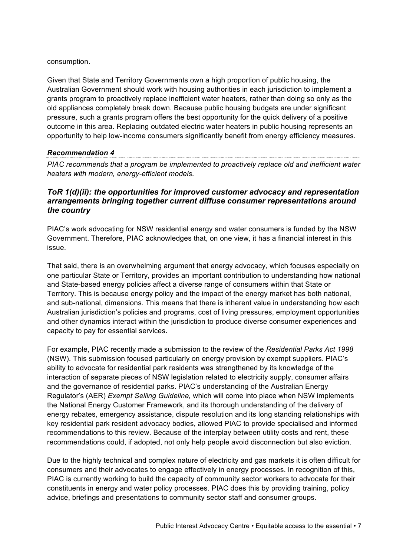#### consumption.

Given that State and Territory Governments own a high proportion of public housing, the Australian Government should work with housing authorities in each jurisdiction to implement a grants program to proactively replace inefficient water heaters, rather than doing so only as the old appliances completely break down. Because public housing budgets are under significant pressure, such a grants program offers the best opportunity for the quick delivery of a positive outcome in this area. Replacing outdated electric water heaters in public housing represents an opportunity to help low-income consumers significantly benefit from energy efficiency measures.

#### *Recommendation 4*

*PIAC recommends that a program be implemented to proactively replace old and inefficient water heaters with modern, energy-efficient models.* 

#### *ToR 1(d)(ii): the opportunities for improved customer advocacy and representation arrangements bringing together current diffuse consumer representations around the country*

PIAC's work advocating for NSW residential energy and water consumers is funded by the NSW Government. Therefore, PIAC acknowledges that, on one view, it has a financial interest in this issue.

That said, there is an overwhelming argument that energy advocacy, which focuses especially on one particular State or Territory, provides an important contribution to understanding how national and State-based energy policies affect a diverse range of consumers within that State or Territory. This is because energy policy and the impact of the energy market has both national, and sub-national, dimensions. This means that there is inherent value in understanding how each Australian jurisdiction's policies and programs, cost of living pressures, employment opportunities and other dynamics interact within the jurisdiction to produce diverse consumer experiences and capacity to pay for essential services.

For example, PIAC recently made a submission to the review of the *Residential Parks Act 1998*  (NSW). This submission focused particularly on energy provision by exempt suppliers. PIAC's ability to advocate for residential park residents was strengthened by its knowledge of the interaction of separate pieces of NSW legislation related to electricity supply, consumer affairs and the governance of residential parks. PIAC's understanding of the Australian Energy Regulator's (AER) *Exempt Selling Guideline,* which will come into place when NSW implements the National Energy Customer Framework, and its thorough understanding of the delivery of energy rebates, emergency assistance, dispute resolution and its long standing relationships with key residential park resident advocacy bodies, allowed PIAC to provide specialised and informed recommendations to this review. Because of the interplay between utility costs and rent, these recommendations could, if adopted, not only help people avoid disconnection but also eviction.

Due to the highly technical and complex nature of electricity and gas markets it is often difficult for consumers and their advocates to engage effectively in energy processes. In recognition of this, PIAC is currently working to build the capacity of community sector workers to advocate for their constituents in energy and water policy processes. PIAC does this by providing training, policy advice, briefings and presentations to community sector staff and consumer groups.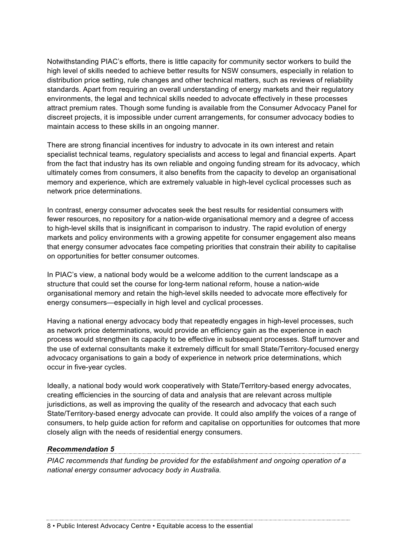Notwithstanding PIAC's efforts, there is little capacity for community sector workers to build the high level of skills needed to achieve better results for NSW consumers, especially in relation to distribution price setting, rule changes and other technical matters, such as reviews of reliability standards. Apart from requiring an overall understanding of energy markets and their regulatory environments, the legal and technical skills needed to advocate effectively in these processes attract premium rates. Though some funding is available from the Consumer Advocacy Panel for discreet projects, it is impossible under current arrangements, for consumer advocacy bodies to maintain access to these skills in an ongoing manner.

There are strong financial incentives for industry to advocate in its own interest and retain specialist technical teams, regulatory specialists and access to legal and financial experts. Apart from the fact that industry has its own reliable and ongoing funding stream for its advocacy, which ultimately comes from consumers, it also benefits from the capacity to develop an organisational memory and experience, which are extremely valuable in high-level cyclical processes such as network price determinations.

In contrast, energy consumer advocates seek the best results for residential consumers with fewer resources, no repository for a nation-wide organisational memory and a degree of access to high-level skills that is insignificant in comparison to industry. The rapid evolution of energy markets and policy environments with a growing appetite for consumer engagement also means that energy consumer advocates face competing priorities that constrain their ability to capitalise on opportunities for better consumer outcomes.

In PIAC's view, a national body would be a welcome addition to the current landscape as a structure that could set the course for long-term national reform, house a nation-wide organisational memory and retain the high-level skills needed to advocate more effectively for energy consumers—especially in high level and cyclical processes.

Having a national energy advocacy body that repeatedly engages in high-level processes, such as network price determinations, would provide an efficiency gain as the experience in each process would strengthen its capacity to be effective in subsequent processes. Staff turnover and the use of external consultants make it extremely difficult for small State/Territory-focused energy advocacy organisations to gain a body of experience in network price determinations, which occur in five-year cycles.

Ideally, a national body would work cooperatively with State/Territory-based energy advocates, creating efficiencies in the sourcing of data and analysis that are relevant across multiple jurisdictions, as well as improving the quality of the research and advocacy that each such State/Territory-based energy advocate can provide. It could also amplify the voices of a range of consumers, to help guide action for reform and capitalise on opportunities for outcomes that more closely align with the needs of residential energy consumers.

*Recommendation 5 PIAC recommends that funding be provided for the establishment and ongoing operation of a national energy consumer advocacy body in Australia.*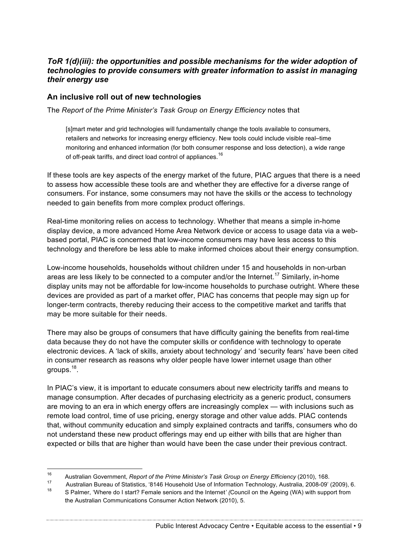#### *ToR 1(d)(iii): the opportunities and possible mechanisms for the wider adoption of technologies to provide consumers with greater information to assist in managing their energy use*

#### **An inclusive roll out of new technologies**

The *Report of the Prime Minister's Task Group on Energy Efficiency* notes that

[s]mart meter and grid technologies will fundamentally change the tools available to consumers, retailers and networks for increasing energy efficiency. New tools could include visible real–time monitoring and enhanced information (for both consumer response and loss detection), a wide range of off-peak tariffs, and direct load control of appliances.<sup>16</sup>

If these tools are key aspects of the energy market of the future, PIAC argues that there is a need to assess how accessible these tools are and whether they are effective for a diverse range of consumers. For instance, some consumers may not have the skills or the access to technology needed to gain benefits from more complex product offerings.

Real-time monitoring relies on access to technology. Whether that means a simple in-home display device, a more advanced Home Area Network device or access to usage data via a webbased portal, PIAC is concerned that low-income consumers may have less access to this technology and therefore be less able to make informed choices about their energy consumption.

Low-income households, households without children under 15 and households in non-urban areas are less likely to be connected to a computer and/or the Internet.<sup>17</sup> Similarly, in-home display units may not be affordable for low-income households to purchase outright. Where these devices are provided as part of a market offer, PIAC has concerns that people may sign up for longer-term contracts, thereby reducing their access to the competitive market and tariffs that may be more suitable for their needs.

There may also be groups of consumers that have difficulty gaining the benefits from real-time data because they do not have the computer skills or confidence with technology to operate electronic devices. A 'lack of skills, anxiety about technology' and 'security fears' have been cited in consumer research as reasons why older people have lower internet usage than other groups.18.

In PIAC's view, it is important to educate consumers about new electricity tariffs and means to manage consumption. After decades of purchasing electricity as a generic product, consumers are moving to an era in which energy offers are increasingly complex — with inclusions such as remote load control, time of use pricing, energy storage and other value adds. PIAC contends that, without community education and simply explained contracts and tariffs, consumers who do not understand these new product offerings may end up either with bills that are higher than expected or bills that are higher than would have been the case under their previous contract.

Public Interest Advocacy Centre • Equitable access to the essential • 9

 <sup>16</sup> Australian Government, *Report of the Prime Minister's Task Group on Energy Efficiency* (2010), 168.

<sup>&</sup>lt;sup>17</sup> Australian Bureau of Statistics, '8146 Household Use of Information Technology, Australia, 2008-09' (2009), 6.<br><sup>18</sup> S Palmer, 'Where do I start? Female seniors and the Internet' (Council on the Ageing (WA) with suppor

the Australian Communications Consumer Action Network (2010), 5.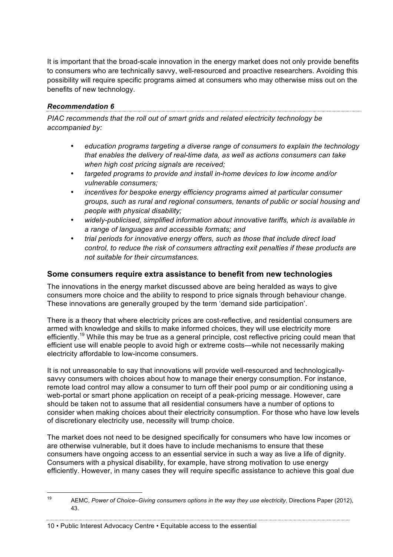It is important that the broad-scale innovation in the energy market does not only provide benefits to consumers who are technically savvy, well-resourced and proactive researchers. Avoiding this possibility will require specific programs aimed at consumers who may otherwise miss out on the benefits of new technology.

#### *Recommendation 6*

*PIAC recommends that the roll out of smart grids and related electricity technology be accompanied by:*

- *education programs targeting a diverse range of consumers to explain the technology that enables the delivery of real-time data, as well as actions consumers can take when high cost pricing signals are received;*
- *targeted programs to provide and install in-home devices to low income and/or vulnerable consumers;*
- *incentives for bespoke energy efficiency programs aimed at particular consumer groups, such as rural and regional consumers, tenants of public or social housing and people with physical disability;*
- *widely-publicised, simplified information about innovative tariffs, which is available in a range of languages and accessible formats; and*
- *trial periods for innovative energy offers, such as those that include direct load control, to reduce the risk of consumers attracting exit penalties if these products are not suitable for their circumstances.*

#### **Some consumers require extra assistance to benefit from new technologies**

The innovations in the energy market discussed above are being heralded as ways to give consumers more choice and the ability to respond to price signals through behaviour change. These innovations are generally grouped by the term 'demand side participation'.

There is a theory that where electricity prices are cost-reflective, and residential consumers are armed with knowledge and skills to make informed choices, they will use electricity more efficiently.<sup>19</sup> While this may be true as a general principle, cost reflective pricing could mean that efficient use will enable people to avoid high or extreme costs—while not necessarily making electricity affordable to low-income consumers.

It is not unreasonable to say that innovations will provide well-resourced and technologicallysavvy consumers with choices about how to manage their energy consumption. For instance, remote load control may allow a consumer to turn off their pool pump or air conditioning using a web-portal or smart phone application on receipt of a peak-pricing message. However, care should be taken not to assume that all residential consumers have a number of options to consider when making choices about their electricity consumption. For those who have low levels of discretionary electricity use, necessity will trump choice.

The market does not need to be designed specifically for consumers who have low incomes or are otherwise vulnerable, but it does have to include mechanisms to ensure that these consumers have ongoing access to an essential service in such a way as live a life of dignity. Consumers with a physical disability, for example, have strong motivation to use energy efficiently. However, in many cases they will require specific assistance to achieve this goal due

 <sup>19</sup> AEMC, *Power of Choice–Giving consumers options in the way they use electricity*, Directions Paper (2012), 43.

<sup>10</sup> • Public Interest Advocacy Centre • Equitable access to the essential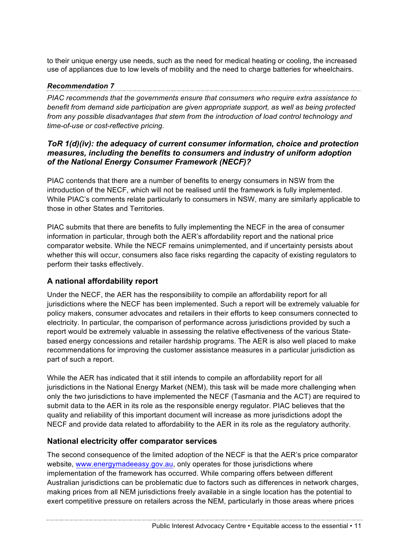to their unique energy use needs, such as the need for medical heating or cooling, the increased use of appliances due to low levels of mobility and the need to charge batteries for wheelchairs.

#### *Recommendation 7*

*PIAC recommends that the governments ensure that consumers who require extra assistance to benefit from demand side participation are given appropriate support, as well as being protected from any possible disadvantages that stem from the introduction of load control technology and time-of-use or cost-reflective pricing.*

#### *ToR 1(d)(iv): the adequacy of current consumer information, choice and protection measures, including the benefits to consumers and industry of uniform adoption of the National Energy Consumer Framework (NECF)?*

PIAC contends that there are a number of benefits to energy consumers in NSW from the introduction of the NECF, which will not be realised until the framework is fully implemented. While PIAC's comments relate particularly to consumers in NSW, many are similarly applicable to those in other States and Territories.

PIAC submits that there are benefits to fully implementing the NECF in the area of consumer information in particular, through both the AER's affordability report and the national price comparator website. While the NECF remains unimplemented, and if uncertainty persists about whether this will occur, consumers also face risks regarding the capacity of existing regulators to perform their tasks effectively.

### **A national affordability report**

Under the NECF, the AER has the responsibility to compile an affordability report for all jurisdictions where the NECF has been implemented. Such a report will be extremely valuable for policy makers, consumer advocates and retailers in their efforts to keep consumers connected to electricity. In particular, the comparison of performance across jurisdictions provided by such a report would be extremely valuable in assessing the relative effectiveness of the various Statebased energy concessions and retailer hardship programs. The AER is also well placed to make recommendations for improving the customer assistance measures in a particular jurisdiction as part of such a report.

While the AER has indicated that it still intends to compile an affordability report for all jurisdictions in the National Energy Market (NEM), this task will be made more challenging when only the two jurisdictions to have implemented the NECF (Tasmania and the ACT) are required to submit data to the AER in its role as the responsible energy regulator. PIAC believes that the quality and reliability of this important document will increase as more jurisdictions adopt the NECF and provide data related to affordability to the AER in its role as the regulatory authority.

### **National electricity offer comparator services**

The second consequence of the limited adoption of the NECF is that the AER's price comparator website, www.energymadeeasy.gov.au, only operates for those jurisdictions where implementation of the framework has occurred. While comparing offers between different Australian jurisdictions can be problematic due to factors such as differences in network charges, making prices from all NEM jurisdictions freely available in a single location has the potential to exert competitive pressure on retailers across the NEM, particularly in those areas where prices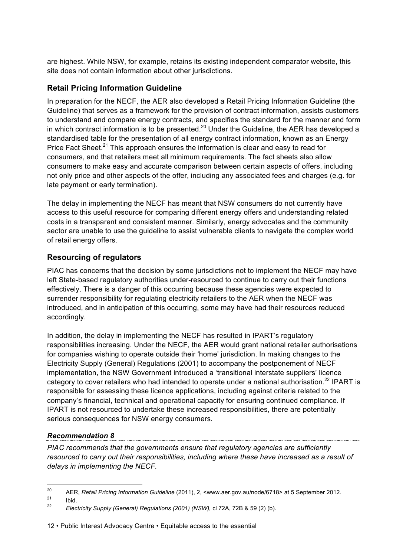are highest. While NSW, for example, retains its existing independent comparator website, this site does not contain information about other jurisdictions.

#### **Retail Pricing Information Guideline**

In preparation for the NECF, the AER also developed a Retail Pricing Information Guideline (the Guideline) that serves as a framework for the provision of contract information, assists customers to understand and compare energy contracts, and specifies the standard for the manner and form in which contract information is to be presented.<sup>20</sup> Under the Guideline, the AER has developed a standardised table for the presentation of all energy contract information, known as an Energy Price Fact Sheet.<sup>21</sup> This approach ensures the information is clear and easy to read for consumers, and that retailers meet all minimum requirements. The fact sheets also allow consumers to make easy and accurate comparison between certain aspects of offers, including not only price and other aspects of the offer, including any associated fees and charges (e.g. for late payment or early termination).

The delay in implementing the NECF has meant that NSW consumers do not currently have access to this useful resource for comparing different energy offers and understanding related costs in a transparent and consistent manner. Similarly, energy advocates and the community sector are unable to use the guideline to assist vulnerable clients to navigate the complex world of retail energy offers.

#### **Resourcing of regulators**

PIAC has concerns that the decision by some jurisdictions not to implement the NECF may have left State-based regulatory authorities under-resourced to continue to carry out their functions effectively. There is a danger of this occurring because these agencies were expected to surrender responsibility for regulating electricity retailers to the AER when the NECF was introduced, and in anticipation of this occurring, some may have had their resources reduced accordingly.

In addition, the delay in implementing the NECF has resulted in IPART's regulatory responsibilities increasing. Under the NECF, the AER would grant national retailer authorisations for companies wishing to operate outside their 'home' jurisdiction. In making changes to the Electricity Supply (General) Regulations (2001) to accompany the postponement of NECF implementation, the NSW Government introduced a 'transitional interstate suppliers' licence category to cover retailers who had intended to operate under a national authorisation.<sup>22</sup> IPART is responsible for assessing these licence applications, including against criteria related to the company's financial, technical and operational capacity for ensuring continued compliance. If IPART is not resourced to undertake these increased responsibilities, there are potentially serious consequences for NSW energy consumers.

#### *Recommendation 8*

*PIAC recommends that the governments ensure that regulatory agencies are sufficiently resourced to carry out their responsibilities, including where these have increased as a result of delays in implementing the NECF.*

 <sup>20</sup> AER, *Retail Pricing Information Guideline* (2011), 2, <www.aer.gov.au/node/6718> at 5 September 2012.

 $\frac{21}{22}$  Ibid.

<sup>22</sup> *Electricity Supply (General) Regulations (2001) (NSW),* cl 72A, 72B & 59 (2) (b).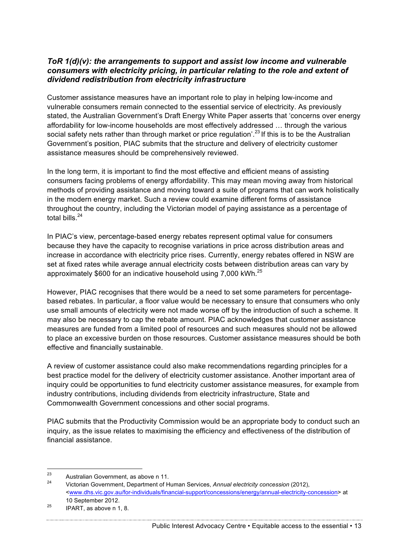#### *ToR 1(d)(v): the arrangements to support and assist low income and vulnerable consumers with electricity pricing, in particular relating to the role and extent of dividend redistribution from electricity infrastructure*

Customer assistance measures have an important role to play in helping low-income and vulnerable consumers remain connected to the essential service of electricity. As previously stated, the Australian Government's Draft Energy White Paper asserts that 'concerns over energy affordability for low-income households are most effectively addressed … through the various social safety nets rather than through market or price regulation<sup>' 23</sup> If this is to be the Australian Government's position, PIAC submits that the structure and delivery of electricity customer assistance measures should be comprehensively reviewed.

In the long term, it is important to find the most effective and efficient means of assisting consumers facing problems of energy affordability. This may mean moving away from historical methods of providing assistance and moving toward a suite of programs that can work holistically in the modern energy market. Such a review could examine different forms of assistance throughout the country, including the Victorian model of paying assistance as a percentage of total bills. $24$ 

In PIAC's view, percentage-based energy rebates represent optimal value for consumers because they have the capacity to recognise variations in price across distribution areas and increase in accordance with electricity price rises. Currently, energy rebates offered in NSW are set at fixed rates while average annual electricity costs between distribution areas can vary by approximately \$600 for an indicative household using 7,000 kWh. $^{25}$ 

However, PIAC recognises that there would be a need to set some parameters for percentagebased rebates. In particular, a floor value would be necessary to ensure that consumers who only use small amounts of electricity were not made worse off by the introduction of such a scheme. It may also be necessary to cap the rebate amount. PIAC acknowledges that customer assistance measures are funded from a limited pool of resources and such measures should not be allowed to place an excessive burden on those resources. Customer assistance measures should be both effective and financially sustainable.

A review of customer assistance could also make recommendations regarding principles for a best practice model for the delivery of electricity customer assistance. Another important area of inquiry could be opportunities to fund electricity customer assistance measures, for example from industry contributions, including dividends from electricity infrastructure, State and Commonwealth Government concessions and other social programs.

PIAC submits that the Productivity Commission would be an appropriate body to conduct such an inquiry, as the issue relates to maximising the efficiency and effectiveness of the distribution of financial assistance.

<sup>&</sup>lt;sup>23</sup> Australian Government, as above n 11.<br><sup>24</sup> Mictorian Covernment, Department of H

<sup>24</sup> Victorian Government, Department of Human Services, *Annual electricity concession* (2012), <www.dhs.vic.gov.au/for-individuals/financial-support/concessions/energy/annual-electricity-concession> at 10 September 2012.

 $25$  IPART, as above n 1, 8.

Public Interest Advocacy Centre • Equitable access to the essential • 13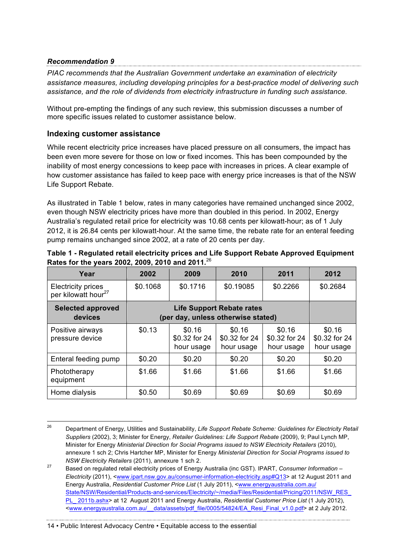#### *Recommendation 9*

*PIAC recommends that the Australian Government undertake an examination of electricity assistance measures, including developing principles for a best-practice model of delivering such assistance, and the role of dividends from electricity infrastructure in funding such assistance.*

Without pre-empting the findings of any such review, this submission discusses a number of more specific issues related to customer assistance below.

#### **Indexing customer assistance**

While recent electricity price increases have placed pressure on all consumers, the impact has been even more severe for those on low or fixed incomes. This has been compounded by the inability of most energy concessions to keep pace with increases in prices. A clear example of how customer assistance has failed to keep pace with energy price increases is that of the NSW Life Support Rebate.

As illustrated in Table 1 below, rates in many categories have remained unchanged since 2002, even though NSW electricity prices have more than doubled in this period. In 2002, Energy Australia's regulated retail price for electricity was 10.68 cents per kilowatt-hour; as of 1 July 2012, it is 26.84 cents per kilowatt-hour. At the same time, the rebate rate for an enteral feeding pump remains unchanged since 2002, at a rate of 20 cents per day.

| Year                                                         | 2002                               | 2009                                  | 2010                                  | 2011                                  | 2012                                  |
|--------------------------------------------------------------|------------------------------------|---------------------------------------|---------------------------------------|---------------------------------------|---------------------------------------|
| <b>Electricity prices</b><br>per kilowatt hour <sup>27</sup> | \$0.1068                           | \$0.1716                              | \$0.19085                             | \$0.2266                              | \$0.2684                              |
| <b>Selected approved</b><br>devices                          | (per day, unless otherwise stated) |                                       |                                       |                                       |                                       |
| Positive airways<br>pressure device                          | \$0.13                             | \$0.16<br>\$0.32 for 24<br>hour usage | \$0.16<br>\$0.32 for 24<br>hour usage | \$0.16<br>\$0.32 for 24<br>hour usage | \$0.16<br>\$0.32 for 24<br>hour usage |
| Enteral feeding pump                                         | \$0.20                             | \$0.20                                | \$0.20                                | \$0.20                                | \$0.20                                |
| Phototherapy<br>equipment                                    | \$1.66                             | \$1.66                                | \$1.66                                | \$1.66                                | \$1.66                                |
| Home dialysis                                                | \$0.50                             | \$0.69                                | \$0.69                                | \$0.69                                | \$0.69                                |

#### **Table 1 - Regulated retail electricity prices and Life Support Rebate Approved Equipment Rates for the years 2002, 2009, 2010 and 2011***.* 26

 <sup>26</sup> Department of Energy, Utilities and Sustainability, *Life Support Rebate Scheme: Guidelines for Electricity Retail Suppliers* (2002), 3; Minister for Energy, *Retailer Guidelines: Life Support Rebate* (2009), 9; Paul Lynch MP, Minister for Energy *Ministerial Direction for Social Programs issued to NSW Electricity Retailers* (2010), annexure 1 sch 2; Chris Hartcher MP, Minister for Energy *Ministerial Direction for Social Programs issued to NSW Electricity Retailers* (2011), annexure 1 sch 2.

<sup>27</sup> Based on regulated retail electricity prices of Energy Australia (inc GST). IPART, *Consumer Information – Electricity* (2011), <www.ipart.nsw.gov.au/consumer-information-electricity.asp#Q13> at 12 August 2011 and Energy Australia, *Residential Customer Price List* (1 July 2011), <www.energyaustralia.com.au/ State/NSW/Residential/Products-and-services/Electricity/~/media/Files/Residential/Pricing/2011/NSW\_RES\_ PL\_ 2011b.ashx> at 12 August 2011 and Energy Australia, *Residential Customer Price List* (1 July 2012), <www.energyaustralia.com.au/\_\_data/assets/pdf\_file/0005/54824/EA\_Resi\_Final\_v1.0.pdf> at 2 July 2012.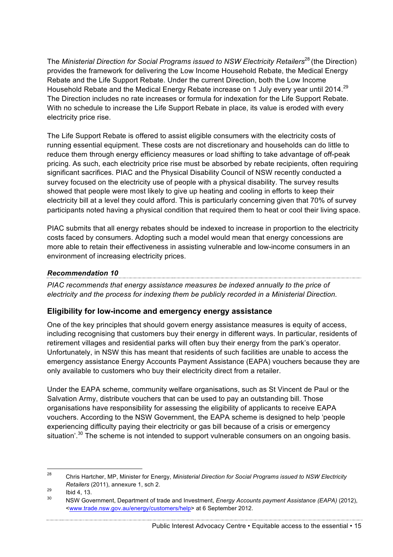The *Ministerial Direction for Social Programs issued to NSW Electricity Retailers*<sup>28</sup> (the Direction) provides the framework for delivering the Low Income Household Rebate, the Medical Energy Rebate and the Life Support Rebate. Under the current Direction, both the Low Income Household Rebate and the Medical Energy Rebate increase on 1 July every year until 2014.<sup>29</sup> The Direction includes no rate increases or formula for indexation for the Life Support Rebate. With no schedule to increase the Life Support Rebate in place, its value is eroded with every electricity price rise.

The Life Support Rebate is offered to assist eligible consumers with the electricity costs of running essential equipment. These costs are not discretionary and households can do little to reduce them through energy efficiency measures or load shifting to take advantage of off-peak pricing. As such, each electricity price rise must be absorbed by rebate recipients, often requiring significant sacrifices. PIAC and the Physical Disability Council of NSW recently conducted a survey focused on the electricity use of people with a physical disability. The survey results showed that people were most likely to give up heating and cooling in efforts to keep their electricity bill at a level they could afford. This is particularly concerning given that 70% of survey participants noted having a physical condition that required them to heat or cool their living space.

PIAC submits that all energy rebates should be indexed to increase in proportion to the electricity costs faced by consumers. Adopting such a model would mean that energy concessions are more able to retain their effectiveness in assisting vulnerable and low-income consumers in an environment of increasing electricity prices.

#### *Recommendation 10*

*PIAC recommends that energy assistance measures be indexed annually to the price of electricity and the process for indexing them be publicly recorded in a Ministerial Direction.* 

### **Eligibility for low-income and emergency energy assistance**

One of the key principles that should govern energy assistance measures is equity of access, including recognising that customers buy their energy in different ways. In particular, residents of retirement villages and residential parks will often buy their energy from the park's operator. Unfortunately, in NSW this has meant that residents of such facilities are unable to access the emergency assistance Energy Accounts Payment Assistance (EAPA) vouchers because they are only available to customers who buy their electricity direct from a retailer.

Under the EAPA scheme, community welfare organisations, such as St Vincent de Paul or the Salvation Army, distribute vouchers that can be used to pay an outstanding bill. Those organisations have responsibility for assessing the eligibility of applicants to receive EAPA vouchers. According to the NSW Government, the EAPA scheme is designed to help 'people experiencing difficulty paying their electricity or gas bill because of a crisis or emergency situation'.<sup>30</sup> The scheme is not intended to support vulnerable consumers on an ongoing basis.

Public Interest Advocacy Centre • Equitable access to the essential • 15

 <sup>28</sup> Chris Hartcher, MP, Minister for Energy, *Ministerial Direction for Social Programs issued to NSW Electricity Retailers* (2011), annexure 1, sch 2.

 $^{29}$  Ibid 4, 13.

<sup>30</sup> NSW Government, Department of trade and Investment, *Energy Accounts payment Assistance (EAPA)* (2012), <www.trade.nsw.gov.au/energy/customers/help> at 6 September 2012.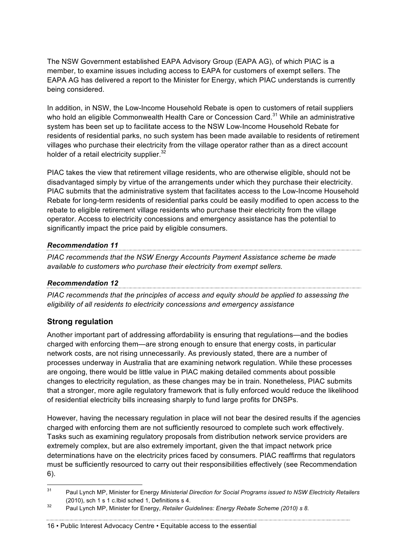The NSW Government established EAPA Advisory Group (EAPA AG), of which PIAC is a member, to examine issues including access to EAPA for customers of exempt sellers. The EAPA AG has delivered a report to the Minister for Energy, which PIAC understands is currently being considered.

In addition, in NSW, the Low-Income Household Rebate is open to customers of retail suppliers who hold an eligible Commonwealth Health Care or Concession Card.<sup>31</sup> While an administrative system has been set up to facilitate access to the NSW Low-Income Household Rebate for residents of residential parks, no such system has been made available to residents of retirement villages who purchase their electricity from the village operator rather than as a direct account holder of a retail electricity supplier.<sup>32</sup>

PIAC takes the view that retirement village residents, who are otherwise eligible, should not be disadvantaged simply by virtue of the arrangements under which they purchase their electricity. PIAC submits that the administrative system that facilitates access to the Low-Income Household Rebate for long-term residents of residential parks could be easily modified to open access to the rebate to eligible retirement village residents who purchase their electricity from the village operator. Access to electricity concessions and emergency assistance has the potential to significantly impact the price paid by eligible consumers.

#### *Recommendation 11*

*PIAC recommends that the NSW Energy Accounts Payment Assistance scheme be made available to customers who purchase their electricity from exempt sellers.* 

### *Recommendation 12*

*PIAC recommends that the principles of access and equity should be applied to assessing the eligibility of all residents to electricity concessions and emergency assistance*

## **Strong regulation**

Another important part of addressing affordability is ensuring that regulations—and the bodies charged with enforcing them—are strong enough to ensure that energy costs, in particular network costs, are not rising unnecessarily. As previously stated, there are a number of processes underway in Australia that are examining network regulation. While these processes are ongoing, there would be little value in PIAC making detailed comments about possible changes to electricity regulation, as these changes may be in train. Nonetheless, PIAC submits that a stronger, more agile regulatory framework that is fully enforced would reduce the likelihood of residential electricity bills increasing sharply to fund large profits for DNSPs.

However, having the necessary regulation in place will not bear the desired results if the agencies charged with enforcing them are not sufficiently resourced to complete such work effectively. Tasks such as examining regulatory proposals from distribution network service providers are extremely complex, but are also extremely important, given the that impact network price determinations have on the electricity prices faced by consumers. PIAC reaffirms that regulators must be sufficiently resourced to carry out their responsibilities effectively (see Recommendation 6).

 <sup>31</sup> Paul Lynch MP, Minister for Energy *Ministerial Direction for Social Programs issued to NSW Electricity Retailers* (2010), sch 1 s 1 c.Ibid sched 1, Definitions s 4.

<sup>32</sup> Paul Lynch MP, Minister for Energy, *Retailer Guidelines: Energy Rebate Scheme (2010) s 8.*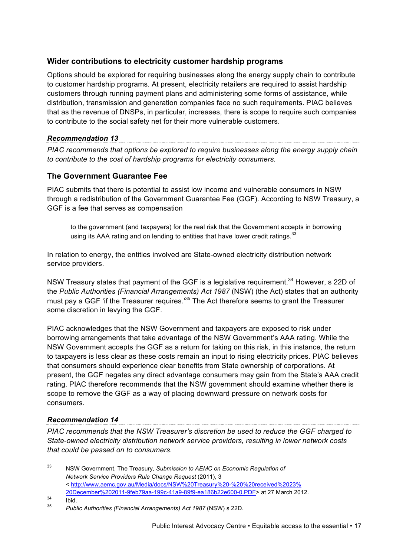#### **Wider contributions to electricity customer hardship programs**

Options should be explored for requiring businesses along the energy supply chain to contribute to customer hardship programs. At present, electricity retailers are required to assist hardship customers through running payment plans and administering some forms of assistance, while distribution, transmission and generation companies face no such requirements. PIAC believes that as the revenue of DNSPs, in particular, increases, there is scope to require such companies to contribute to the social safety net for their more vulnerable customers.

#### *Recommendation 13*

*PIAC recommends that options be explored to require businesses along the energy supply chain to contribute to the cost of hardship programs for electricity consumers.* 

### **The Government Guarantee Fee**

PIAC submits that there is potential to assist low income and vulnerable consumers in NSW through a redistribution of the Government Guarantee Fee (GGF). According to NSW Treasury, a GGF is a fee that serves as compensation

to the government (and taxpayers) for the real risk that the Government accepts in borrowing using its AAA rating and on lending to entities that have lower credit ratings. $33$ 

In relation to energy, the entities involved are State-owned electricity distribution network service providers.

NSW Treasury states that payment of the GGF is a legislative requirement.<sup>34</sup> However, s 22D of the *Public Authorities (Financial Arrangements) Act 1987* (NSW) (the Act) states that an authority must pay a GGF 'if the Treasurer requires.<sup>35</sup> The Act therefore seems to grant the Treasurer some discretion in levying the GGF.

PIAC acknowledges that the NSW Government and taxpayers are exposed to risk under borrowing arrangements that take advantage of the NSW Government's AAA rating. While the NSW Government accepts the GGF as a return for taking on this risk, in this instance, the return to taxpayers is less clear as these costs remain an input to rising electricity prices. PIAC believes that consumers should experience clear benefits from State ownership of corporations. At present, the GGF negates any direct advantage consumers may gain from the State's AAA credit rating. PIAC therefore recommends that the NSW government should examine whether there is scope to remove the GGF as a way of placing downward pressure on network costs for consumers.

*Recommendation 14 PIAC recommends that the NSW Treasurer's discretion be used to reduce the GGF charged to State-owned electricity distribution network service providers, resulting in lower network costs that could be passed on to consumers.*

 33 NSW Government, The Treasury, *Submission to AEMC on Economic Regulation of Network Service Providers Rule Change Request* (2011), 3 < http://www.aemc.gov.au/Media/docs/NSW%20Treasury%20-%20%20received%2023% 20December%202011-9feb79aa-199c-41a9-89f9-ea186b22e600-0.PDF> at 27 March 2012.  $\frac{34}{1}$  Ibid. <sup>35</sup> *Public Authorities (Financial Arrangements) Act 1987* (NSW) s 22D.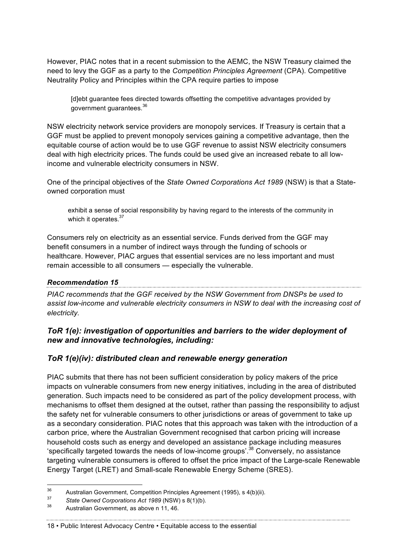However, PIAC notes that in a recent submission to the AEMC, the NSW Treasury claimed the need to levy the GGF as a party to the *Competition Principles Agreement* (CPA). Competitive Neutrality Policy and Principles within the CPA require parties to impose

[d]ebt guarantee fees directed towards offsetting the competitive advantages provided by government guarantees.<sup>36</sup>

NSW electricity network service providers are monopoly services. If Treasury is certain that a GGF must be applied to prevent monopoly services gaining a competitive advantage, then the equitable course of action would be to use GGF revenue to assist NSW electricity consumers deal with high electricity prices. The funds could be used give an increased rebate to all lowincome and vulnerable electricity consumers in NSW.

One of the principal objectives of the *State Owned Corporations Act 1989* (NSW) is that a Stateowned corporation must

exhibit a sense of social responsibility by having regard to the interests of the community in which it operates.<sup>37</sup>

Consumers rely on electricity as an essential service. Funds derived from the GGF may benefit consumers in a number of indirect ways through the funding of schools or healthcare. However, PIAC argues that essential services are no less important and must remain accessible to all consumers — especially the vulnerable.

## *Recommendation 15*

*PIAC recommends that the GGF received by the NSW Government from DNSPs be used to assist low-income and vulnerable electricity consumers in NSW to deal with the increasing cost of electricity.*

### *ToR 1(e): investigation of opportunities and barriers to the wider deployment of new and innovative technologies, including:*

### *ToR 1(e)(iv): distributed clean and renewable energy generation*

PIAC submits that there has not been sufficient consideration by policy makers of the price impacts on vulnerable consumers from new energy initiatives, including in the area of distributed generation. Such impacts need to be considered as part of the policy development process, with mechanisms to offset them designed at the outset, rather than passing the responsibility to adjust the safety net for vulnerable consumers to other jurisdictions or areas of government to take up as a secondary consideration. PIAC notes that this approach was taken with the introduction of a carbon price, where the Australian Government recognised that carbon pricing will increase household costs such as energy and developed an assistance package including measures 'specifically targeted towards the needs of low-income groups'.38 Conversely, no assistance targeting vulnerable consumers is offered to offset the price impact of the Large-scale Renewable Energy Target (LRET) and Small-scale Renewable Energy Scheme (SRES).

 <sup>36</sup> Australian Government, Competition Principles Agreement (1995), s 4(b)(ii).

<sup>37</sup> *State Owned Corporations Act 1989* (NSW) s 8(1)(b).

<sup>38</sup> Australian Government, as above n 11, 46.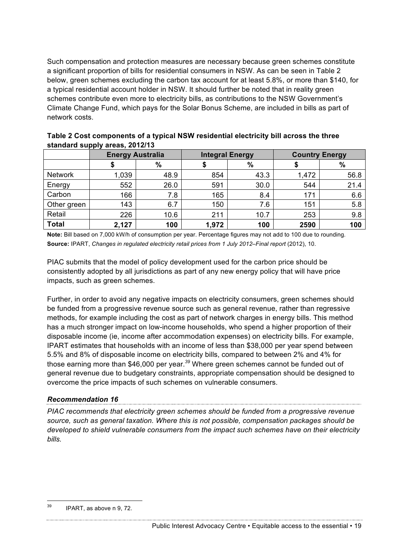Such compensation and protection measures are necessary because green schemes constitute a significant proportion of bills for residential consumers in NSW. As can be seen in Table 2 below, green schemes excluding the carbon tax account for at least 5.8%, or more than \$140, for a typical residential account holder in NSW. It should further be noted that in reality green schemes contribute even more to electricity bills, as contributions to the NSW Government's Climate Change Fund, which pays for the Solar Bonus Scheme, are included in bills as part of network costs.

| .              |                         |      |                        |      |                       |      |  |  |  |  |
|----------------|-------------------------|------|------------------------|------|-----------------------|------|--|--|--|--|
|                | <b>Energy Australia</b> |      | <b>Integral Energy</b> |      | <b>Country Energy</b> |      |  |  |  |  |
|                |                         | $\%$ |                        | %    |                       | $\%$ |  |  |  |  |
| <b>Network</b> | 1,039                   | 48.9 | 854                    | 43.3 | 1,472                 | 56.8 |  |  |  |  |
| Energy         | 552                     | 26.0 | 591                    | 30.0 | 544                   | 21.4 |  |  |  |  |
| Carbon         | 166                     | 7.8  | 165                    | 8.4  | 171                   | 6.6  |  |  |  |  |
| Other green    | 143                     | 6.7  | 150                    | 7.6  | 151                   | 5.8  |  |  |  |  |
| Retail         | 226                     | 10.6 | 211                    | 10.7 | 253                   | 9.8  |  |  |  |  |
| <b>Total</b>   | 2,127                   | 100  | 1,972                  | 100  | 2590                  | 100  |  |  |  |  |

**Table 2 Cost components of a typical NSW residential electricity bill across the three standard supply areas, 2012/13**

**Note:** Bill based on 7,000 kW/h of consumption per year. Percentage figures may not add to 100 due to rounding. **Source:** IPART, *Changes in regulated electricity retail prices from 1 July 2012–Final report* (2012), 10.

PIAC submits that the model of policy development used for the carbon price should be consistently adopted by all jurisdictions as part of any new energy policy that will have price impacts, such as green schemes.

Further, in order to avoid any negative impacts on electricity consumers, green schemes should be funded from a progressive revenue source such as general revenue, rather than regressive methods, for example including the cost as part of network charges in energy bills. This method has a much stronger impact on low-income households, who spend a higher proportion of their disposable income (ie, income after accommodation expenses) on electricity bills. For example, IPART estimates that households with an income of less than \$38,000 per year spend between 5.5% and 8% of disposable income on electricity bills, compared to between 2% and 4% for those earning more than \$46,000 per year.*<sup>39</sup>* Where green schemes cannot be funded out of general revenue due to budgetary constraints, appropriate compensation should be designed to overcome the price impacts of such schemes on vulnerable consumers.

# *Recommendation 16*

*PIAC recommends that electricity green schemes should be funded from a progressive revenue source, such as general taxation. Where this is not possible, compensation packages should be developed to shield vulnerable consumers from the impact such schemes have on their electricity bills.*

 $39$  IPART, as above n 9, 72.